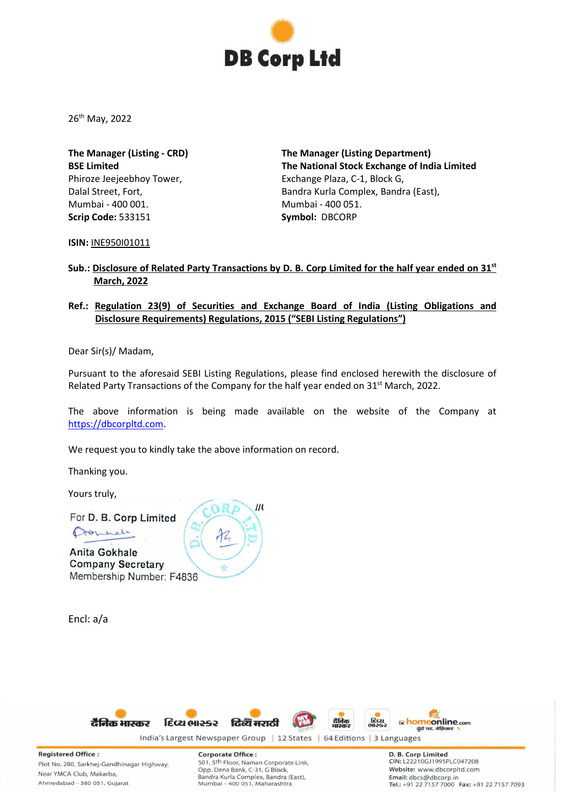

26th May, 2022

**The Manager (Listing - CRD) BSE Limited** Phiroze Jeejeebhoy Tower, Dalal Street, Fort, Mumbai - 400 001. **Scrip Code:** 533151

**The Manager (Listing Department) The National Stock Exchange of India Limited** Exchange Plaza, C-1, Block G, Bandra Kurla Complex, Bandra (East), Mumbai - 400 051. **Symbol:** DBCORP

**ISIN:** INE950I01011

## **Sub.: Disclosure of Related Party Transactions by D. B. Corp Limited for the half year ended on 31st March, 2022**

## **Ref.: Regulation 23(9) of Securities and Exchange Board of India (Listing Obligations and Disclosure Requirements) Regulations, 2015 ("SEBI Listing Regulations")**

Dear Sir(s)/ Madam,

Pursuant to the aforesaid SEBI Listing Regulations, please find enclosed herewith the disclosure of Related Party Transactions of the Company for the half year ended on 31<sup>st</sup> March, 2022.

The above information is being made available on the website of the Company at [https://dbcorpltd.com.](https://dbcorpltd.com/)

We request you to kindly take the above information on record.

Thanking you.

Yours truly,

For D. B. Corp Limited

formale

**Anita Gokhale Company Secretary** Membership Number: F4836

Encl: a/a





**Registered Office:** Plot No. 280, Sarkhej-Gandhinagar Highway, Near YMCA Club, Makarba, Ahmedabad - 380 051, Gujarat

**Corporate Office:** 501, 5th Floor, Naman Corporate Link, Opp. Dena Bank, C-31, G Block, Bandra Kurla Complex, Bandra (East), Mumbai - 400 051, Maharashtra

D. B. Corp Limited **CIN: L22210GJ1995PLC047208** Website: www.dbcorpltd.com Email: dbcs@dbcorp.in Tel.: +91 22 7157 7000 Fax: +91 22 7157 7093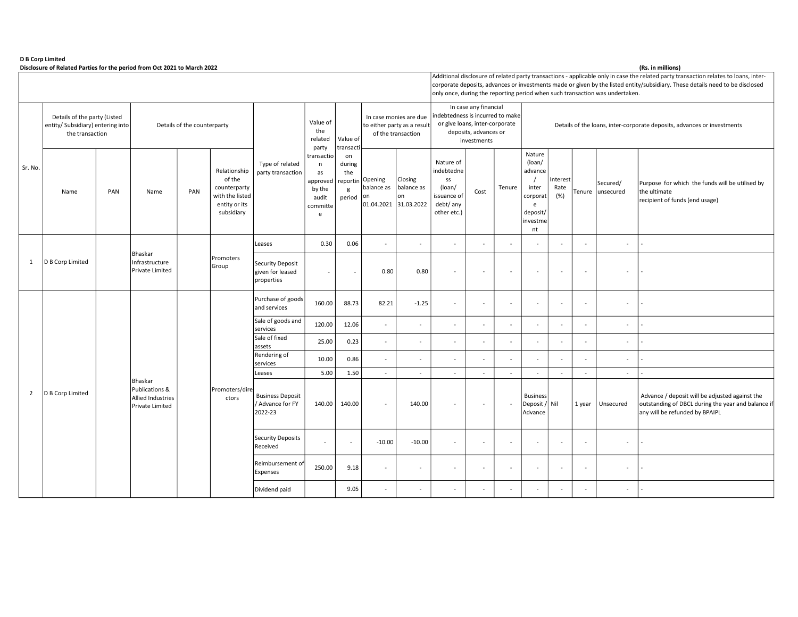## D B Corp Limited

Disclosure of Related Parties for the period from Oct 2021 to March 2022 (Rs. in millions) (Rs. in millions)

|                |                                                                                      |     | Additional disclosure of related party transactions - applicable only in case the related party transaction relates to loans, inter-<br>corporate deposits, advances or investments made or given by the listed entity/subsidiary. These details need to be disclosed<br>only once, during the reporting period when such transaction was undertaken. |                             |                                                                                          |                                                        |                                                                                |                                                |                                                                             |                             |                                                                                                                                     |                                                                         |                          |                                                                                     |                          |        |                       |                                                                                                                                        |
|----------------|--------------------------------------------------------------------------------------|-----|-------------------------------------------------------------------------------------------------------------------------------------------------------------------------------------------------------------------------------------------------------------------------------------------------------------------------------------------------------|-----------------------------|------------------------------------------------------------------------------------------|--------------------------------------------------------|--------------------------------------------------------------------------------|------------------------------------------------|-----------------------------------------------------------------------------|-----------------------------|-------------------------------------------------------------------------------------------------------------------------------------|-------------------------------------------------------------------------|--------------------------|-------------------------------------------------------------------------------------|--------------------------|--------|-----------------------|----------------------------------------------------------------------------------------------------------------------------------------|
| Sr. No.        | Details of the party (Listed<br>entity/ Subsidiary) entering into<br>the transaction |     |                                                                                                                                                                                                                                                                                                                                                       | Details of the counterparty |                                                                                          |                                                        | Value of<br>the<br>related<br>party                                            | Value of<br>transact                           | In case monies are due<br>to either party as a result<br>of the transaction |                             | In case any financial<br>indebtedness is incurred to make<br>or give loans, inter-corporate<br>deposits, advances or<br>investments | Details of the loans, inter-corporate deposits, advances or investments |                          |                                                                                     |                          |        |                       |                                                                                                                                        |
|                | Name                                                                                 | PAN | Name                                                                                                                                                                                                                                                                                                                                                  | PAN                         | Relationship<br>of the<br>counterparty<br>with the listed<br>entity or its<br>subsidiary | Type of related<br>party transaction                   | transactio<br>n<br>as<br>approved<br>by the<br>audit<br>committe<br>$\epsilon$ | on<br>during<br>the<br>reportin<br>g<br>period | Opening<br>balance as<br> on<br>01.04.2021 31.03.2022                       | Closing<br>balance as<br>on | Nature of<br>indebtedne<br>SS<br>(loan/<br>issuance of<br>debt/ any<br>other etc.)                                                  | Cost                                                                    | Tenure                   | Nature<br>(loan/<br>advance<br>inter<br>corporat<br>e<br>deposit/<br>investme<br>nt | Interest<br>Rate<br>(% ) | Tenure | Secured/<br>unsecured | Purpose for which the funds will be utilised by<br>the ultimate<br>recipient of funds (end usage)                                      |
|                |                                                                                      |     |                                                                                                                                                                                                                                                                                                                                                       |                             |                                                                                          | Leases                                                 | 0.30                                                                           | 0.06                                           | $\sim$                                                                      | $\sim$                      | $\sim$                                                                                                                              |                                                                         |                          |                                                                                     |                          |        | $\sim$                |                                                                                                                                        |
| $\mathbf{1}$   | D B Corp Limited                                                                     |     | Bhaskar<br>Infrastructure<br>Private Limited                                                                                                                                                                                                                                                                                                          |                             | Promoters<br>Group                                                                       | Security Deposit<br>given for leased<br>properties     | $\sim$                                                                         |                                                | 0.80                                                                        | 0.80                        | $\overline{\phantom{a}}$                                                                                                            |                                                                         | $\overline{\phantom{a}}$ | $\sim$                                                                              | $\sim$                   | $\sim$ | $\sim$                |                                                                                                                                        |
|                |                                                                                      |     |                                                                                                                                                                                                                                                                                                                                                       |                             |                                                                                          | Purchase of goods<br>and services                      | 160.00                                                                         | 88.73                                          | 82.21                                                                       | $-1.25$                     | $\sim$                                                                                                                              |                                                                         |                          |                                                                                     | $\overline{\phantom{a}}$ |        | $\sim$                |                                                                                                                                        |
|                |                                                                                      |     |                                                                                                                                                                                                                                                                                                                                                       |                             |                                                                                          | Sale of goods and<br>services                          | 120.00                                                                         | 12.06                                          | $\sim$                                                                      | $\sim$                      | ÷                                                                                                                                   |                                                                         |                          |                                                                                     |                          |        | $\sim$                |                                                                                                                                        |
|                |                                                                                      |     |                                                                                                                                                                                                                                                                                                                                                       |                             |                                                                                          | Sale of fixed<br>assets                                | 25.00                                                                          | 0.23                                           | $\sim$                                                                      |                             | ÷                                                                                                                                   |                                                                         |                          |                                                                                     |                          |        | $\sim$                |                                                                                                                                        |
|                |                                                                                      |     |                                                                                                                                                                                                                                                                                                                                                       |                             |                                                                                          | Rendering of<br>services                               | 10.00                                                                          | 0.86                                           | $\sim$                                                                      |                             | $\sim$                                                                                                                              |                                                                         |                          |                                                                                     |                          |        | $\sim$                |                                                                                                                                        |
|                |                                                                                      |     | Bhaskar                                                                                                                                                                                                                                                                                                                                               |                             |                                                                                          | Leases                                                 | 5.00                                                                           | 1.50                                           | $\sim$                                                                      | $\sim$                      | $\sim$                                                                                                                              | $\sim$                                                                  | $\sim$                   | $\sim$                                                                              | $\sim$                   | $\sim$ | $\sim$                |                                                                                                                                        |
| $\overline{2}$ | D B Corp Limited                                                                     |     | Publications &<br>Allied Industries<br>Private Limited                                                                                                                                                                                                                                                                                                |                             | Promoters/dire<br>ctors                                                                  | <b>Business Deposit</b><br>/ Advance for FY<br>2022-23 | 140.00                                                                         | 140.00                                         | $\sim$                                                                      | 140.00                      | $\overline{a}$                                                                                                                      |                                                                         |                          | <b>Business</b><br>Deposit / Nil<br>Advance                                         |                          | 1 year | Unsecured             | Advance / deposit will be adjusted against the<br>outstanding of DBCL during the year and balance if<br>any will be refunded by BPAIPL |
|                |                                                                                      |     |                                                                                                                                                                                                                                                                                                                                                       |                             |                                                                                          | Security Deposits<br>Received                          | $\sim$                                                                         | $\overline{a}$                                 | $-10.00$                                                                    | $-10.00$                    | $\sim$                                                                                                                              | $\sim$                                                                  | $\overline{\phantom{a}}$ | $\sim$                                                                              | $\overline{\phantom{a}}$ | $\sim$ | $\omega$              |                                                                                                                                        |
|                |                                                                                      |     |                                                                                                                                                                                                                                                                                                                                                       |                             |                                                                                          | Reimbursement of<br><b>Expenses</b>                    | 250.00                                                                         | 9.18                                           | $\sim$                                                                      | $\sim$                      | $\sim$                                                                                                                              | $\overline{\phantom{a}}$                                                | $\sim$                   | $\sim$                                                                              | $\sim$                   | $\sim$ | $\sim$                |                                                                                                                                        |
|                |                                                                                      |     |                                                                                                                                                                                                                                                                                                                                                       |                             |                                                                                          | Dividend paid                                          |                                                                                | 9.05                                           | $\sim$                                                                      | $\sim$                      | $\sim$                                                                                                                              | $\sim$                                                                  | $\sim$                   | $\sim$                                                                              | $\sim$                   |        | $\sim$                |                                                                                                                                        |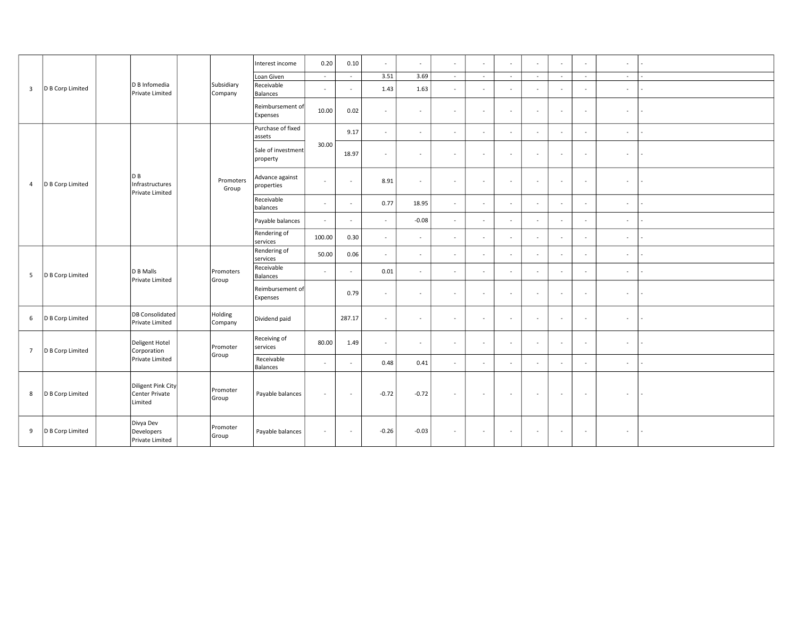|                         | D B Corp Limited |  | D B Infomedia<br>Private Limited                |  | Subsidiary<br>Company | Interest income                | 0.20   | 0.10                     | $\sim$   | $\sim$  | $\sim$         | $\sim$                   | $\omega$                 | $\omega$       | $\omega$ | $\sim$                   | $\sim$ |                          |
|-------------------------|------------------|--|-------------------------------------------------|--|-----------------------|--------------------------------|--------|--------------------------|----------|---------|----------------|--------------------------|--------------------------|----------------|----------|--------------------------|--------|--------------------------|
| $\overline{\mathbf{3}}$ |                  |  |                                                 |  |                       | Loan Given                     | $\sim$ | $\sim$                   | 3.51     | 3.69    | $\sim$         | $\sim$                   | $\sim$                   | $\sim$         | $\sim$   | $\sim$                   | $\sim$ |                          |
|                         |                  |  |                                                 |  |                       | Receivable<br>Balances         | $\sim$ | $\overline{\phantom{a}}$ | 1.43     | 1.63    | $\sim$         | $\sim$                   | $\sim$                   | $\sim$         | $\sim$   | $\overline{\phantom{a}}$ | $\sim$ |                          |
|                         |                  |  |                                                 |  |                       | Reimbursement of<br>Expenses   | 10.00  | 0.02                     | $\sim$   | $\sim$  | $\sim$         | $\overline{\phantom{a}}$ | $\sim$                   | $\sim$         | $\sim$   | $\blacksquare$           | $\sim$ |                          |
|                         |                  |  |                                                 |  | Promoters<br>Group    | Purchase of fixed<br>assets    | 30.00  | 9.17                     | $\sim$   | $\sim$  | $\sim$         | $\sim$                   | $\sim$                   | $\sim$         | $\sim$   | $\sim$                   | $\sim$ |                          |
|                         |                  |  |                                                 |  |                       | Sale of investment<br>property |        | 18.97                    | $\sim$   | $\sim$  | $\sim$         | $\overline{\phantom{a}}$ | $\overline{\phantom{a}}$ | $\sim$         | $\sim$   | $\omega$                 | $\sim$ |                          |
| $\overline{4}$          | D B Corp Limited |  | DB<br>Infrastructures<br>Private Limited        |  |                       | Advance against<br>properties  | $\sim$ | $\overline{\phantom{a}}$ | 8.91     | $\sim$  | $\blacksquare$ | $\sim$                   | $\sim$                   | $\sim$         | $\sim$   | $\sim$                   | $\sim$ |                          |
|                         |                  |  |                                                 |  |                       | Receivable<br>balances         | $\sim$ | $\sim$                   | 0.77     | 18.95   | $\sim$         | $\sim$                   | $\sim$                   | $\sim$         | $\sim$   | $\blacksquare$           | $\sim$ |                          |
|                         |                  |  |                                                 |  |                       | Payable balances               | $\sim$ | $\overline{\phantom{a}}$ | $\omega$ | $-0.08$ | $\omega$       | $\sim$                   | $\sim$                   | $\omega$       | $\sim$   | $\sim$                   | $\sim$ |                          |
|                         |                  |  |                                                 |  |                       | Rendering of<br>services       | 100.00 | 0.30                     | $\sim$   | $\sim$  | $\sim$         |                          | $\sim$                   | $\blacksquare$ | $\sim$   | $\sim$                   | $\sim$ |                          |
|                         | D B Corp Limited |  | D B Malls<br>Private Limited                    |  | Promoters<br>Group    | Rendering of<br>services       | 50.00  | 0.06                     | $\sim$   | $\sim$  | $\blacksquare$ | $\sim$                   | $\sim$                   | $\sim$         | $\sim$   | $\sim$                   | $\sim$ |                          |
| 5                       |                  |  |                                                 |  |                       | Receivable<br>Balances         | $\sim$ | $\sim$                   | 0.01     | $\sim$  | $\sim$         | $\sim$                   | $\omega$                 | $\omega$       | $\sim$   | $\blacksquare$           | $\sim$ |                          |
|                         |                  |  |                                                 |  |                       | Reimbursement of<br>Expenses   |        | 0.79                     | $\sim$   | $\sim$  | $\sim$         | $\sim$                   | $\sim$                   | $\sim$         | $\sim$   | $\sim$                   | $\sim$ |                          |
| 6                       | D B Corp Limited |  | DB Consolidated<br>Private Limited              |  | Holding<br>Company    | Dividend paid                  |        | 287.17                   | $\sim$   | $\sim$  | $\sim$         | $\sim$                   | $\sim$                   | $\sim$         | $\sim$   | $\sim$                   | $\sim$ | $\sim$                   |
| $7\overline{ }$         | D B Corp Limited |  | Deligent Hotel<br>Corporation                   |  | Promoter              | Receiving of<br>services       | 80.00  | 1.49                     | $\sim$   | $\sim$  | $\bar{a}$      | $\overline{\phantom{a}}$ | $\sim$                   | $\sim$         | $\sim$   | $\omega$                 | $\sim$ |                          |
|                         |                  |  | Private Limited                                 |  | Group                 | Receivable<br>Balances         | $\sim$ | $\sim$                   | 0.48     | 0.41    | $\sim$         | $\sim$                   | $\sim$                   | $\sim$         | $\sim$   | $\sim$                   | $\sim$ |                          |
| 8                       | D B Corp Limited |  | Diligent Pink City<br>Center Private<br>Limited |  | Promoter<br>Group     | Payable balances               | $\sim$ | $\overline{\phantom{a}}$ | $-0.72$  | $-0.72$ | $\sim$         | $\sim$                   | $\sim$                   | $\sim$         | $\sim$   | $\sim$                   | $\sim$ | $\sim$                   |
| 9                       | D B Corp Limited |  | Divya Dev<br>Developers<br>Private Limited      |  | Promoter<br>Group     | Payable balances               | $\sim$ | $\sim$                   | $-0.26$  | $-0.03$ | $\sim$         |                          |                          |                | $\sim$   | $\sim$                   | $\sim$ | $\overline{\phantom{a}}$ |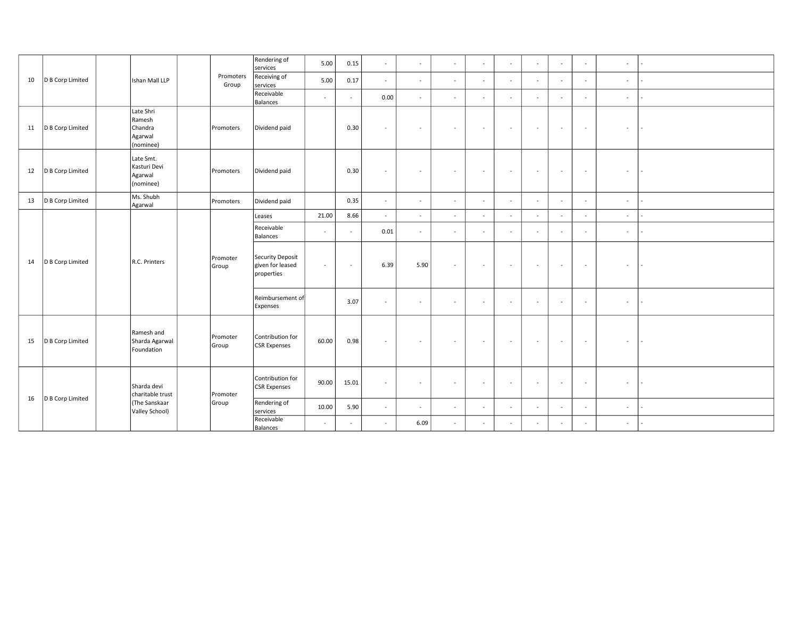|    | D B Corp Limited |  |                                                                    | Promoters<br>Group | Rendering of<br>services                           | 5.00   | 0.15           | $\sim$   | $\sim$ | $\sim$         | $\sim$ | $\sim$                   | $\sim$         | $\sim$                   | $\sim$                   | $\sim$ |        |
|----|------------------|--|--------------------------------------------------------------------|--------------------|----------------------------------------------------|--------|----------------|----------|--------|----------------|--------|--------------------------|----------------|--------------------------|--------------------------|--------|--------|
| 10 |                  |  | Ishan Mall LLP                                                     |                    | Receiving of<br>services                           | 5.00   | 0.17           | $\sim$   | $\sim$ | $\sim$         | $\sim$ | $\sim$                   | $\omega$       | $\sim$                   | $\sim$                   | $\sim$ |        |
|    |                  |  |                                                                    |                    | Receivable<br>Balances                             | $\sim$ | $\sim$         | 0.00     | $\sim$ | $\sim$         | $\sim$ | $\sim$                   | $\sim$         | $\overline{\phantom{a}}$ | $\sim$                   | $\sim$ |        |
| 11 | D B Corp Limited |  | Late Shri<br>Ramesh<br>Chandra<br>Agarwal<br>(nominee)             | Promoters          | Dividend paid                                      |        | 0.30           | $\sim$   | $\sim$ | $\sim$         | $\sim$ | $\sim$                   | $\sim$         | $\sim$                   | $\sim$                   | $\sim$ | $\sim$ |
| 12 | D B Corp Limited |  | Late Smt.<br>Kasturi Devi<br>Agarwal<br>(nominee)                  | Promoters          | Dividend paid                                      |        | 0.30           | $\sim$   | $\sim$ | $\sim$         | $\sim$ | $\sim$                   | $\sim$         | $\sim$                   | $\sim$                   | $\sim$ | $\sim$ |
| 13 | D B Corp Limited |  | Ms. Shubh<br>Agarwal                                               | Promoters          | Dividend paid                                      |        | 0.35           | $\omega$ | $\sim$ | $\sim$         | $\sim$ | $\sim$                   | $\sim$         | $\sim$                   | $\sim$                   | $\sim$ | $\sim$ |
|    |                  |  |                                                                    |                    | Leases                                             | 21.00  | 8.66           | $\omega$ | $\sim$ | $\blacksquare$ | $\sim$ |                          | $\blacksquare$ |                          | $\overline{\phantom{a}}$ | $\sim$ |        |
|    | D B Corp Limited |  | R.C. Printers                                                      | Promoter<br>Group  | Receivable<br>Balances                             | $\sim$ | $\sim$         | 0.01     | $\sim$ | $\sim$         | $\sim$ | $\sim$                   | $\sim$         | $\sim$                   | $\sim$                   | $\sim$ |        |
| 14 |                  |  |                                                                    |                    | Security Deposit<br>given for leased<br>properties | $\sim$ | $\blacksquare$ | 6.39     | 5.90   | $\sim$         | $\sim$ | $\sim$                   | $\sim$         | $\sim$                   | $\sim$                   | $\sim$ | $\sim$ |
|    |                  |  |                                                                    |                    | Reimbursement of<br>Expenses                       |        | 3.07           | $\sim$   | $\sim$ | $\sim$         |        | $\overline{\phantom{a}}$ | $\equiv$       | $\sim$                   | $\blacksquare$           | $\sim$ | $\sim$ |
| 15 | D B Corp Limited |  | Ramesh and<br>Sharda Agarwal<br>Foundation                         | Promoter<br>Group  | Contribution for<br><b>CSR Expenses</b>            | 60.00  | 0.98           | $\sim$   | $\sim$ | $\sim$         | $\sim$ | $\sim$                   | $\sim$         | $\sim$                   | $\sim$                   | $\sim$ | $\sim$ |
| 16 |                  |  | Sharda devi<br>charitable trust<br>(The Sanskaar<br>Valley School) | Promoter<br>Group  | Contribution for<br><b>CSR</b> Expenses            | 90.00  | 15.01          | $\sim$   | $\sim$ | $\sim$         | $\sim$ | $\sim$                   | $\sim$         | $\sim$                   | $\blacksquare$           | $\sim$ | $\sim$ |
|    | D B Corp Limited |  |                                                                    |                    | Rendering of<br>services                           | 10.00  | 5.90           | $\sim$   | $\sim$ | $\sim$         | $\sim$ | $\sim$                   | $\sim$         | $\sim$                   | $\sim$                   | $\sim$ |        |
|    |                  |  |                                                                    |                    | Receivable<br>Balances                             | $\sim$ | ÷              | $\sim$   | 6.09   | $\blacksquare$ | $\sim$ | $\sim$                   | $\sim$         | $\sim$                   | ÷                        | $\sim$ |        |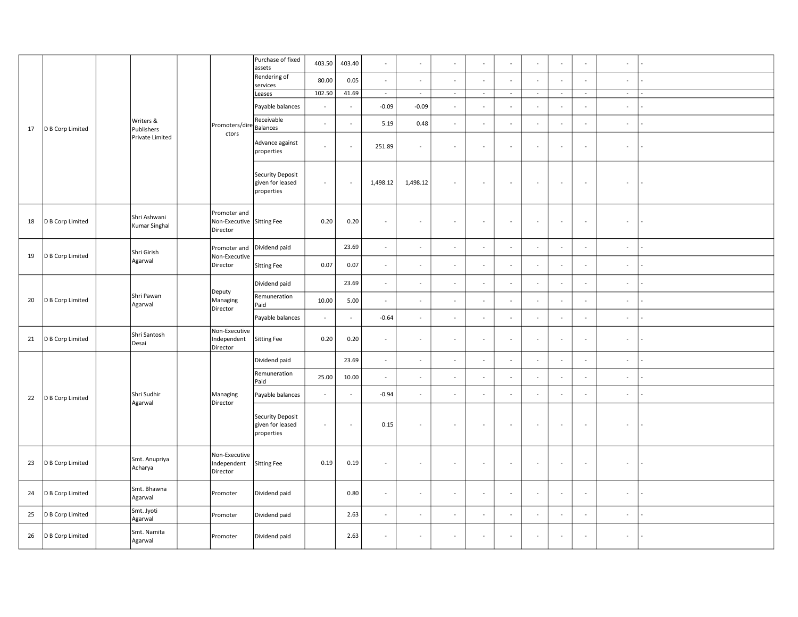|    |                  |  | Writers &<br>Publishers<br>Private Limited |  |                                                       | Purchase of fixed<br>assets                               | 403.50   | 403.40                   | $\omega$                    | $\sim$        |                          |                          |                          | $\sim$         |                     | ÷                        | $\sim$                   |  |
|----|------------------|--|--------------------------------------------|--|-------------------------------------------------------|-----------------------------------------------------------|----------|--------------------------|-----------------------------|---------------|--------------------------|--------------------------|--------------------------|----------------|---------------------|--------------------------|--------------------------|--|
|    |                  |  |                                            |  |                                                       | Rendering of<br>services                                  | 80.00    | 0.05                     | $\omega$                    | $\sim$        | ä,                       |                          |                          | $\mathcal{L}$  |                     |                          | $\omega$                 |  |
|    |                  |  |                                            |  | Promoters/dire<br>ctors                               | Leases                                                    | 102.50   | 41.69                    | $\sim$                      | $\sim$        | $\sim$                   | $\sim$                   | $\sim$                   | $\sim$         | $\sim$              | $\sim$                   | $\sim$                   |  |
|    |                  |  |                                            |  |                                                       | Payable balances                                          | $\sim$   | $\sim$                   | $-0.09$                     | $-0.09$       | $\omega$                 |                          |                          | $\blacksquare$ | $\sim$              | $\overline{\phantom{a}}$ | $\sim$                   |  |
| 17 | D B Corp Limited |  |                                            |  |                                                       | Receivable<br>Balances                                    | $\omega$ | ÷,                       | 5.19                        | 0.48          | $\overline{\phantom{a}}$ |                          |                          | $\omega$       |                     | ä,                       | $\omega$                 |  |
|    |                  |  |                                            |  |                                                       | Advance against<br>properties                             | $\sim$   | L,                       | 251.89                      | $\sim$        | ÷,                       | $\sim$                   | $\overline{\phantom{a}}$ | $\blacksquare$ | $\sim$              | $\blacksquare$           | $\omega$                 |  |
|    |                  |  |                                            |  |                                                       | <b>Security Deposit</b><br>given for leased<br>properties | $\sim$   |                          | 1,498.12                    | 1,498.12      | $\overline{\phantom{a}}$ | $\blacksquare$           | $\overline{\phantom{a}}$ | $\blacksquare$ | $\sim$              | $\overline{\phantom{a}}$ | $\overline{\phantom{a}}$ |  |
| 18 | D B Corp Limited |  | Shri Ashwani<br>Kumar Singhal              |  | Promoter and<br>Non-Executive Sitting Fee<br>Director |                                                           | 0.20     | 0.20                     | $\omega$                    | $\sim$        | $\mathcal{L}$            | $\overline{\phantom{a}}$ | $\sim$                   | $\omega$       | $\sim$              | $\mathcal{L}$            | $\sim$                   |  |
|    |                  |  | Shri Girish                                |  | Promoter and                                          | Dividend paid                                             |          | 23.69                    | $\mathcal{L}_{\mathcal{A}}$ | $\omega$      | $\omega$                 | $\sim$                   | $\overline{\phantom{a}}$ | $\omega$       | $\sim$              | $\omega$                 | $\sim$                   |  |
| 19 | D B Corp Limited |  | Agarwal                                    |  | Non-Executive<br>Director                             | <b>Sitting Fee</b>                                        | 0.07     | 0.07                     | $\sim$                      | $\sim$        | $\sim$                   |                          |                          | $\sim$         | $\sim$              | ÷                        | $\sim$                   |  |
|    |                  |  |                                            |  | Deputy<br>Managing<br>Director                        | Dividend paid                                             |          | 23.69                    | $\omega$                    | $\sim$        | $\omega$                 | $\sim$                   | ÷                        | $\blacksquare$ | $\bar{\phantom{a}}$ | $\overline{\phantom{a}}$ | $\sim$                   |  |
| 20 | D B Corp Limited |  | Shri Pawan<br>Agarwal                      |  |                                                       | Remuneration<br>Paid                                      | 10.00    | 5.00                     | $\omega$                    | $\mathcal{L}$ | ÷,                       |                          | $\overline{\phantom{a}}$ | $\omega$       | ÷,                  | ä,                       | $\sim$                   |  |
|    |                  |  |                                            |  |                                                       | Payable balances                                          | $\sim$   | $\sim$                   | $-0.64$                     | $\sim$        | $\sim$                   |                          | $\overline{\phantom{a}}$ | $\sim$         | $\sim$              | $\sim$                   | $\sim$                   |  |
| 21 | D B Corp Limited |  | Shri Santosh<br>Desai                      |  | Non-Executive<br>Independent<br>Director              | Sitting Fee                                               | 0.20     | 0.20                     | $\sim$                      | $\sim$        | ÷,                       | $\overline{\phantom{a}}$ | $\sim$                   | $\mathcal{L}$  | $\sim$              | $\blacksquare$           | $\sim$                   |  |
|    |                  |  |                                            |  |                                                       | Dividend paid                                             |          | 23.69                    | $\sim$                      | $\sim$        | $\omega$                 |                          |                          | $\omega$       | $\sim$              | ÷.                       | $\sim$                   |  |
|    |                  |  |                                            |  |                                                       | Remuneration<br>Paid                                      | 25.00    | 10.00                    | $\omega$                    | $\sim$        | $\bar{a}$                |                          | $\sim$                   | $\blacksquare$ | $\sim$              | $\blacksquare$           | $\sim$                   |  |
| 22 | D B Corp Limited |  | Shri Sudhir<br>Agarwal                     |  | Managing<br>Director                                  | Payable balances                                          | $\omega$ | ÷,                       | $-0.94$                     | $\omega$      | $\mathbb{Z}$             |                          | ÷,                       | $\omega$       | ÷,                  | ÷.                       | $\omega$                 |  |
|    |                  |  |                                            |  |                                                       | <b>Security Deposit</b><br>given for leased<br>properties | $\sim$   | $\overline{\phantom{a}}$ | 0.15                        | $\sim$        | $\blacksquare$           |                          | $\overline{\phantom{a}}$ | $\blacksquare$ | $\sim$              | $\blacksquare$           | $\sim$                   |  |
| 23 | D B Corp Limited |  | Smt. Anupriya<br>Acharya                   |  | Non-Executive<br>Independent<br>Director              | Sitting Fee                                               | 0.19     | 0.19                     | $\sim$                      | $\sim$        | $\sim$                   |                          | $\sim$                   | $\sim$         | $\sim$              | ÷                        | $\sim$                   |  |
| 24 | D B Corp Limited |  | Smt. Bhawna<br>Agarwal                     |  | Promoter                                              | Dividend paid                                             |          | 0.80                     | $\sim$                      | $\sim$        | $\bar{a}$                | $\sim$                   | $\sim$                   | $\sim$         | $\sim$              | $\mathcal{L}$            | $\sim$                   |  |
| 25 | D B Corp Limited |  | Smt. Jyoti<br>Agarwal                      |  | Promoter                                              | Dividend paid                                             |          | 2.63                     | $\mathcal{L}_{\mathcal{A}}$ | $\sim$        | $\blacksquare$           | $\sim$                   | $\sim$                   | $\omega$       | $\sim$              | $\omega$                 | $\sim$                   |  |
| 26 | D B Corp Limited |  | Smt. Namita<br>Agarwal                     |  | Promoter                                              | Dividend paid                                             |          | 2.63                     | $\sim$                      | $\sim$        | $\sim$                   |                          | $\sim$                   | $\sim$         | ÷.                  | ÷                        | $\sim$                   |  |